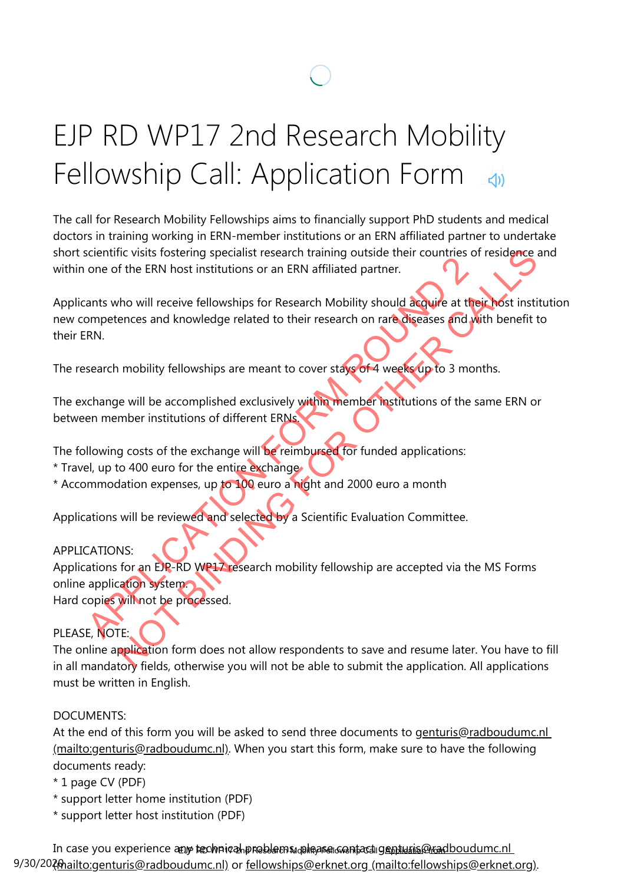# EJP RD WP17 2nd Research Mobility Fellowship Call: Application Form

The call for Research Mobility Fellowships aims to financially support PhD students and medical doctors in training working in ERN-member institutions or an ERN affiliated partner to undertake short scientific visits fostering specialist research training outside their countries of residence and within one of the ERN host institutions or an ERN affiliated partner.

Applicants who will receive fellowships for Research Mobility should acquire at their host institution new competences and knowledge related to their research on rare diseases and with benefit to their ERN. For the ERN host institutions or an ERN affiliated partner.<br>
The of the ERN host institutions or an ERN affiliated partner.<br>
The ants who will receive fellowships for Research Mobility should acquire at the<br>
RN.<br>
RN.<br>
Sear The ERN host institutions or an ERN affiliated partner.<br>
The ERN host institutions or an ERN affiliated partner.<br>
The ERN host institutions or an ERN affiliated partner.<br>
The ERN host institutions or an ERN affiliated part

The research mobility fellowships are meant to cover stays of 4 weeks up to 3 months.

The exchange will be accomplished exclusively within member institutions of the same ERN or between member institutions of different ERNs.

The following costs of the exchange will be reimbursed for funded applications:

- \* Travel, up to 400 euro for the entire exchange
- \* Accommodation expenses, up to 100 euro a night and 2000 euro a month

Applications will be reviewed and selected by a Scientific Evaluation Committee.

#### APPLICATIONS:

Applications for an EJP-RD WP17 research mobility fellowship are accepted via the MS Forms online application system.

Hard copies will not be processed.

# PLEASE, NOTE:

The online application form does not allow respondents to save and resume later. You have to fill in all mandatory fields, otherwise you will not be able to submit the application. All applications must be written in English.

#### DOCUMENTS:

[At the end of this form you will be asked to send three documents to genturis@radboudumc.nl](mailto:genturis@radboudumc.nl) (mailto:genturis@radboudumc.nl). When you start this form, make sure to have the following documents ready:

- \* 1 page CV (PDF)
- \* support letter home institution (PDF)
- \* support letter host institution (PDF)

In case you experience any technicahpreblems, alleges contact genturis@radboudumc.nl 9/30/2020 mailto: genturis@radboudumc.nl) or fellowships@erknet.org (mailto: fellowships@erknet[.org\).](mailto:fellowships@erknet.org)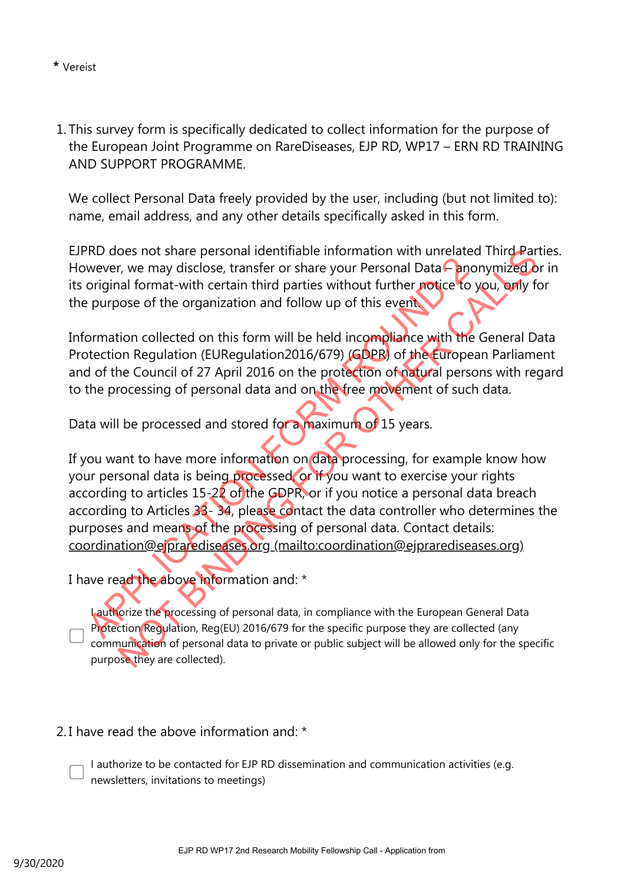1. This survey form is specifically dedicated to collect information for the purpose of the European Joint Programme on RareDiseases, EJP RD, WP17 – ERN RD TRAINING AND SUPPORT PROGRAMME.

We collect Personal Data freely provided by the user, including (but not limited to): name, email address, and any other details specifically asked in this form.

EJPRD does not share personal identifiable information with unrelated Third Parties. However, we may disclose, transfer or share your Personal Data – anonymized or in its original format-with certain third parties without further notice to you, only for the purpose of the organization and follow up of this event.

Information collected on this form will be held incompliance with the General Data Protection Regulation (EURegulation2016/679) (GDPR) of the European Parliament and of the Council of 27 April 2016 on the protection of natural persons with regard to the processing of personal data and on the free movement of such data.

Data will be processed and stored for a maximum of 15 years.

If you want to have more information on data processing, for example know how your personal data is being processed, or if you want to exercise your rights according to articles 15-22 of the GDPR, or if you notice a personal data breach according to Articles 33-34, please contact the data controller who determines the purposes and means of the processing of personal data. Contact details: coordination@ejprarediseases.org (mailto:coordination@ejprarediseases.org) wever, we may disclose, transfer or share your Personal Data Chro<br>
proriginal format-with certain third parties without further notice to<br>
purpose of the organization and follow up of this event<br>
correction Regulation (EUR oes not share personal identifiable information with unrelated Third Part<br>
it, we may disclose, transfer or share your Personal Data Canonymized D<br>
in a format-with certain third parties without turther **protice** to you, b

I have read the above information and: \*

Lauthorize the processing of personal data, in compliance with the European General Data Protection Regulation, Reg(EU) 2016/679 for the specific purpose they are collected (any communication of personal data to private or public subject will be allowed only for the specific purpose they are collected).

2. I have read the above information and: \*

I authorize to be contacted for EJP RD dissemination and communication activities (e.g. newsletters, invitations to meetings)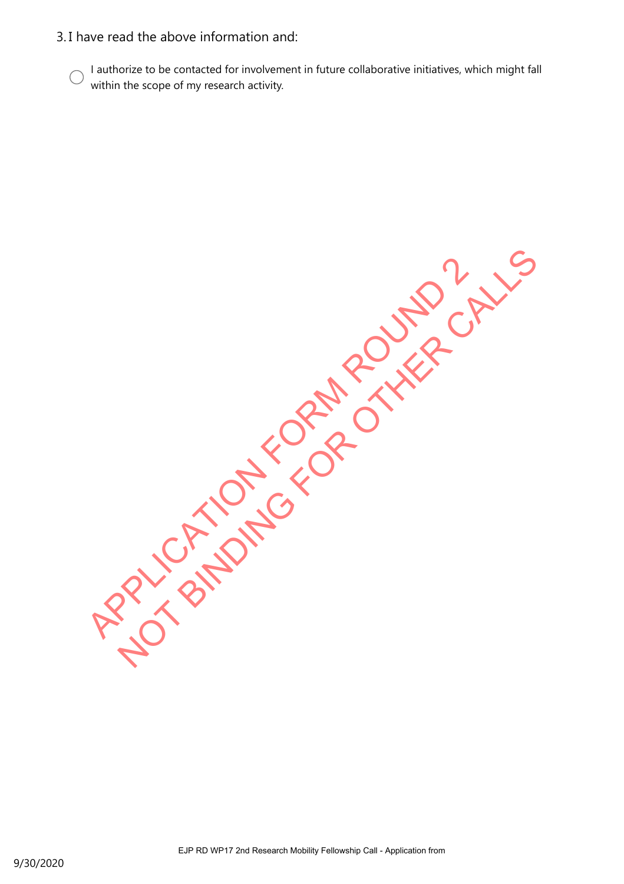#### 3. I have read the above information and:

I authorize to be contacted for involvement in future collaborative initiatives, which might fall within the scope of my research activity.

APPLICATION FORM ROUND 2 NOT BINDING FOR OTHER CALLS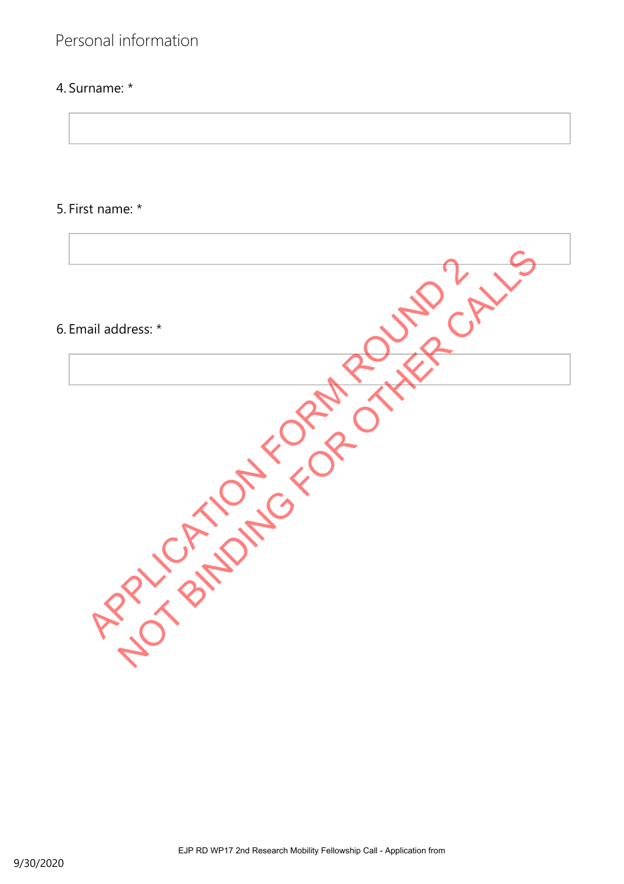# Personal information

# 4. Surname: \*

# 5. First name: \*

| 6. Email address: * |  |
|---------------------|--|
|                     |  |
|                     |  |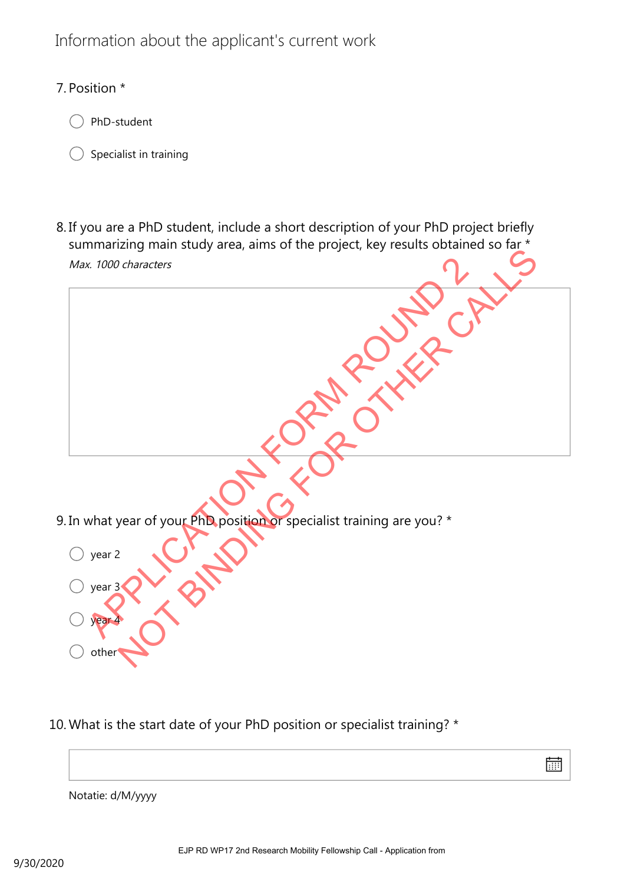# Information about the applicant's current work

## 7. Position \*



Specialist in training

Max. 1000 characters 8. If you are a PhD student, include a short description of your PhD project briefly summarizing main study area, aims of the project, key results obtained so far \*

9. In what year of your PhD position or specialist training are you? \* year 2 year 3 year 4 othe What year of your Phila, position of specialist training are you? Notification of your Photographs Contact the Project Rd Call of the Project Rd Call of the Project Rd Call of the Project Rd Call of the Project Rd Call of the Project Rd Call of the Project Rd Call of the Project Rd Call

10. What is the start date of your PhD position or specialist training? \*



Notatie: d/M/yyyy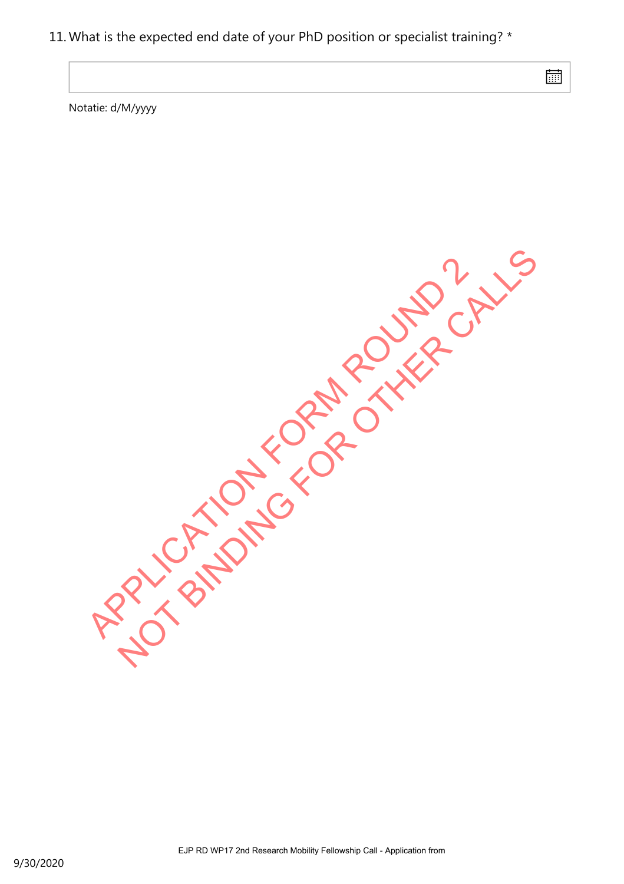#### 11. What is the expected end date of your PhD position or specialist training? \*

扁

Notatie: d/M/yyyy

APPLICATION FORM ROUND 2 NOT BINDING FOR OTHER CALLS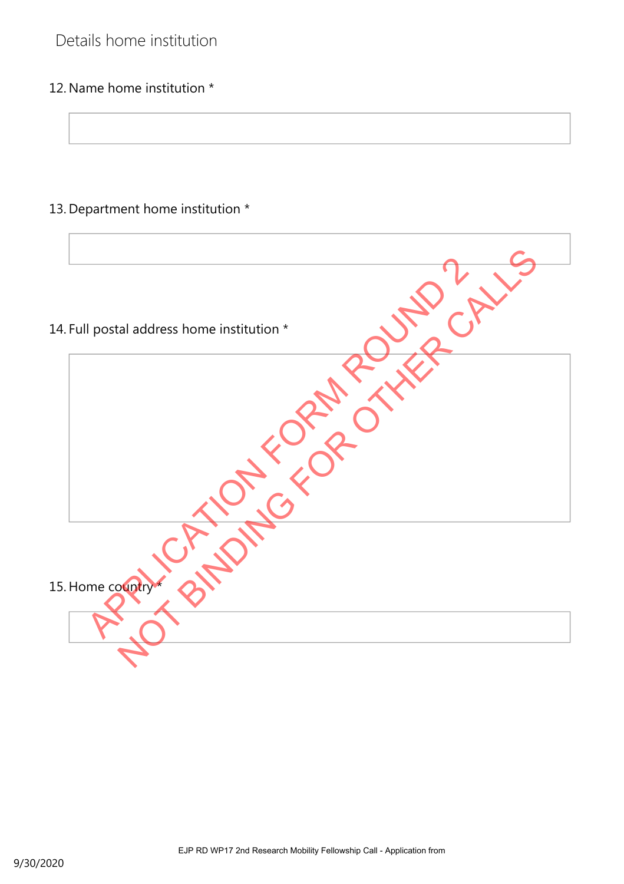# Details home institution

## 12. Name home institution \*

# 13. Department home institution \*

| 14. Full postal address home institution * |
|--------------------------------------------|
|                                            |
|                                            |
| 15. Home country*                          |
|                                            |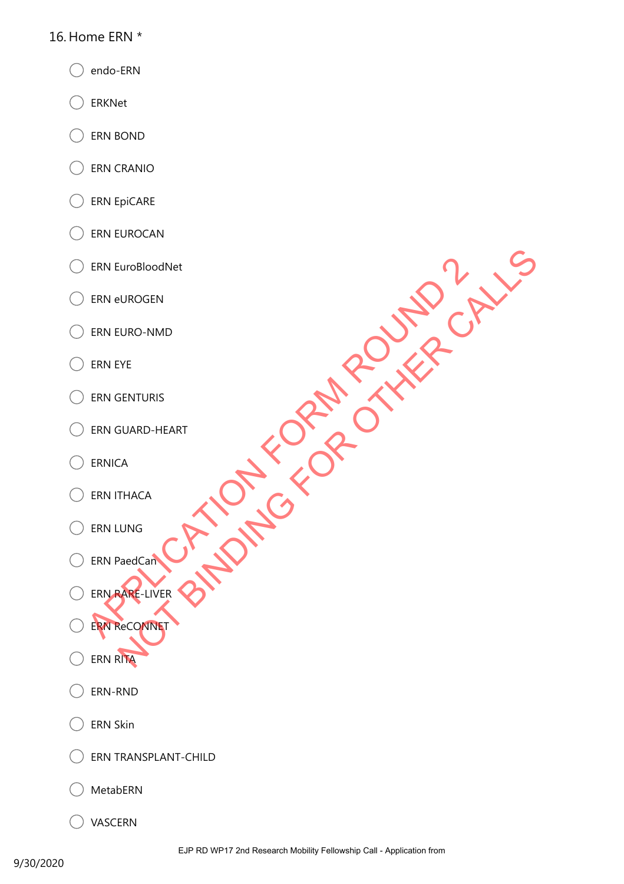#### 16. Home ERN \*

- endo-ERN
- ERKNet
- ERN BOND
- ERN CRANIO
- ERN EpiCARE
- ERN EUROCAN
- ERN EuroBloodNet
- ERN eUROGEN
- ERN EURO-NMD
- ERN EYE
- ERN GENTURIS
- ERN GUARD-HEART
- ERNICA
- ERN ITHACA
- ERN LUNG
- ERN PaedCan
- ERN RARE-LIVER ERN EURO-NMD<br>
ERN EURO-NMD<br>
ERN EURO-NMD<br>
ERN GENTURIS<br>
ERN GENTURIS<br>
ERN GENTURIS<br>
ERN GENTURIS<br>
ERN PaedCam<br>
CRN PaedCam<br>
CRN PaedCam<br>
CRN PaedCam<br>
CRN PaedCam<br>
CRN PaedCam<br>
CRN PaedCam<br>
CRN PaedCam<br>
CRN PaedCam<br>
CRN Pae ENTURIS SUARD-HEART SENTURIS SUARD-HEART SUARD-HEART SUARD-HEART CALLS

ERN ReCONNET

- 
- ERN RITA
- ERN-RND
- ERN Skin
- ERN TRANSPLANT-CHILD
- MetabERN
- VASCERN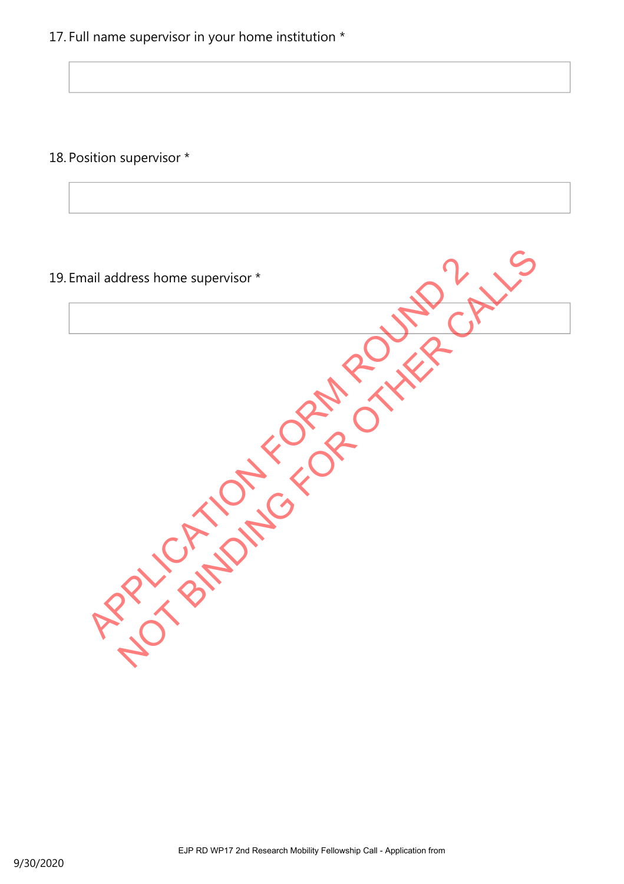17. Full name supervisor in your home institution \*

18. Position supervisor \*

19. Email address home supervisor \* APPLICATION FORM ROUND dress home supervisor \*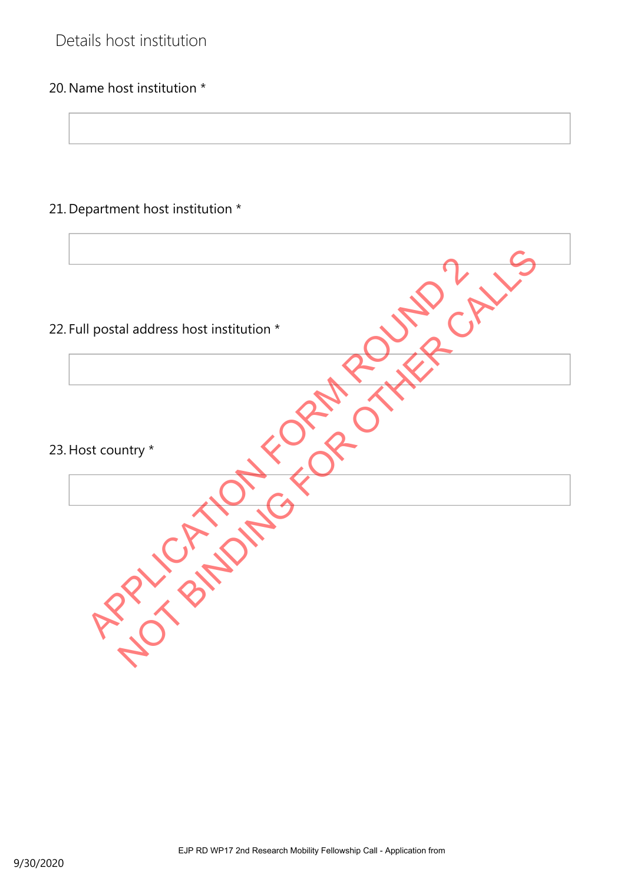# Details host institution

## 20. Name host institution \*

# 21. Department host institution \*

| 22. Full postal address host institution * |
|--------------------------------------------|
|                                            |
| 23. Host country *                         |
|                                            |
|                                            |
|                                            |
|                                            |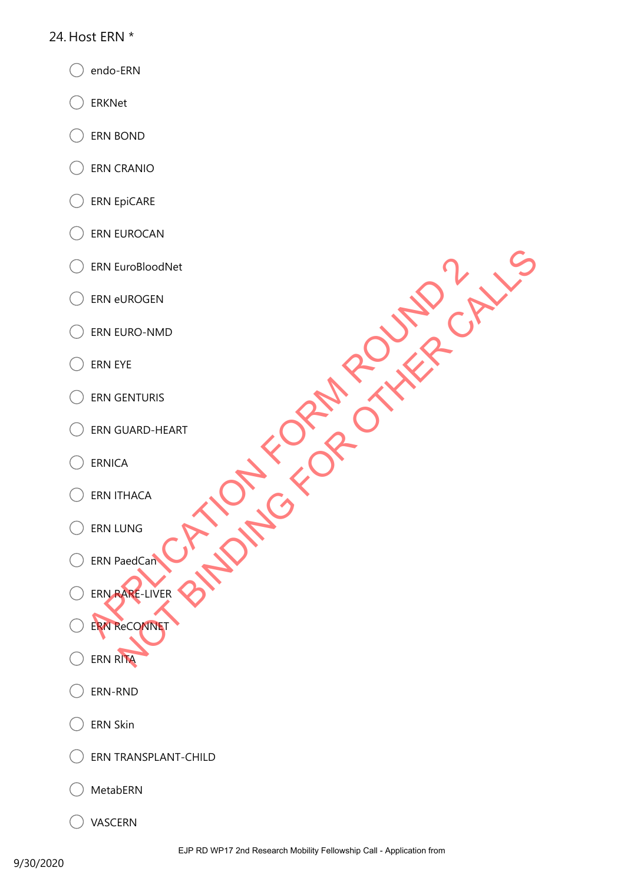#### 24. Host ERN \*

- endo-ERN
- ERKNet
- ERN BOND
- ERN CRANIO
- ERN EpiCARE
- ERN EUROCAN
- ERN EuroBloodNet
- ERN eUROGEN
- ERN EURO-NMD
- ERN EYE
- ERN GENTURIS
- ERN GUARD-HEART
- ERNICA
- ERN ITHACA
- ERN LUNG
- ERN PaedCan
- ERN RARE-LIVER ERN EURO-NMD<br>
ERN EURO-NMD<br>
ERN EURO-NMD<br>
ERN GENTURIS<br>
ERN GENTURIS<br>
ERN GENTURIS<br>
ERN GENTURIS<br>
ERN PaedCam<br>
CRN PaedCam<br>
CRN PaedCam<br>
CRN PaedCam<br>
CRN PaedCam<br>
CRN PaedCam<br>
CRN PaedCam<br>
CRN PaedCam<br>
CRN PaedCam<br>
CRN Pae ENTURIS SUARD-HEART SENTURIS SUARD-HEART SUARD-HEART SUARD-HEART CALLS

ERN ReCONNET

- 
- ERN RITA
- ERN-RND
- ERN Skin
- ERN TRANSPLANT-CHILD
- MetabERN
- VASCERN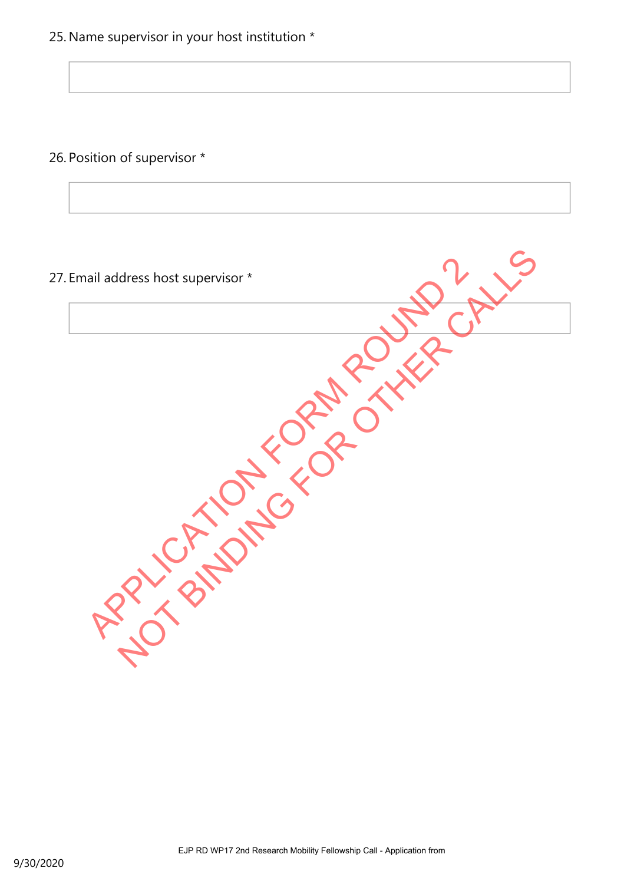26. Position of supervisor \*

# 27. Email address host supervisor \* APPLICATION FORM ROUND dress host supervisor \*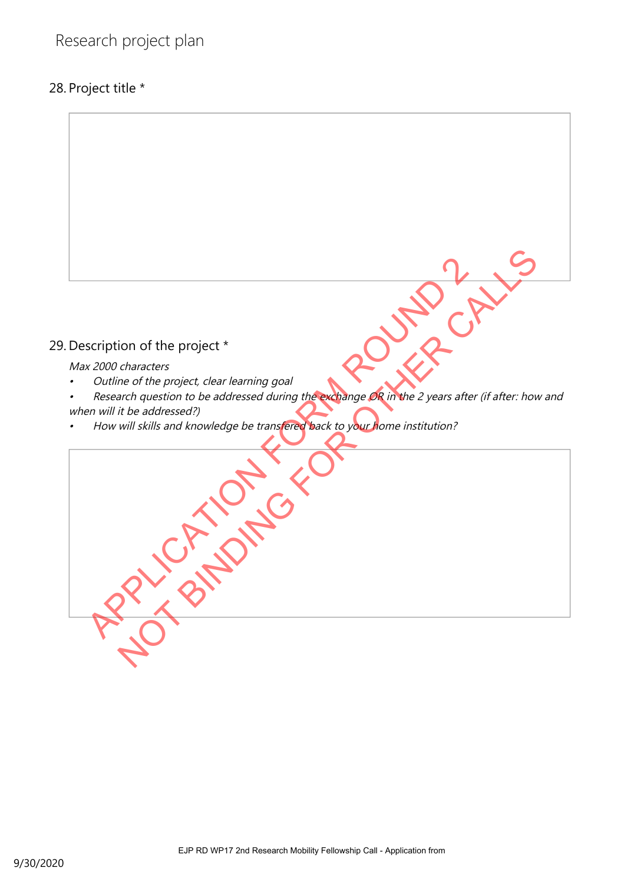# 28. Project title \*

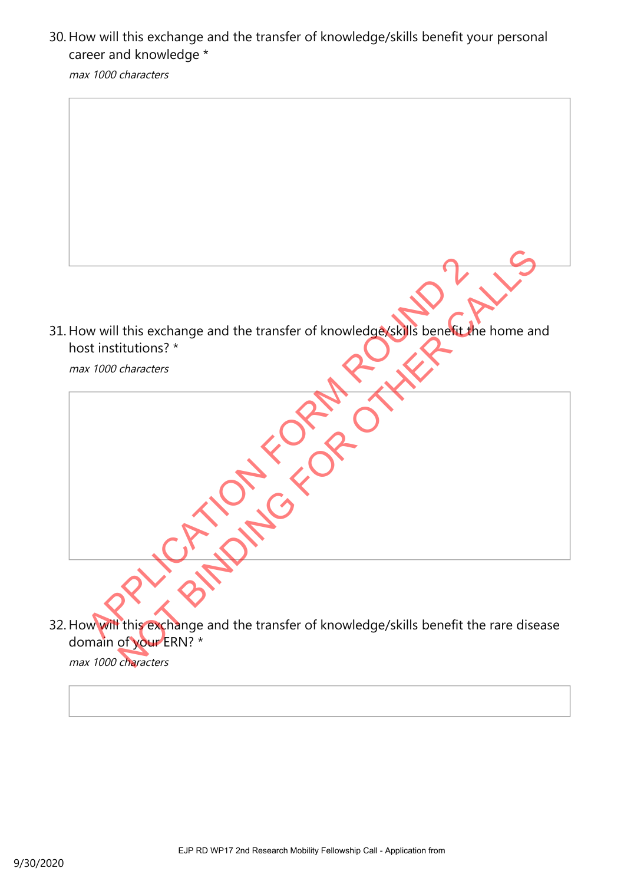30. How will this exchange and the transfer of knowledge/skills benefit your personal career and knowledge \*

max 1000 characters



max 1000 characters

max 1000 characters 32. How will this exchange and the transfer of knowledge/skills benefit the rare disease domain of your ERN? \* This exchange and the transfer of knowledge skills benefit the home and the transfer of knowledge skills benefit the home and the transfer of knowledge / skills benefit the rare dise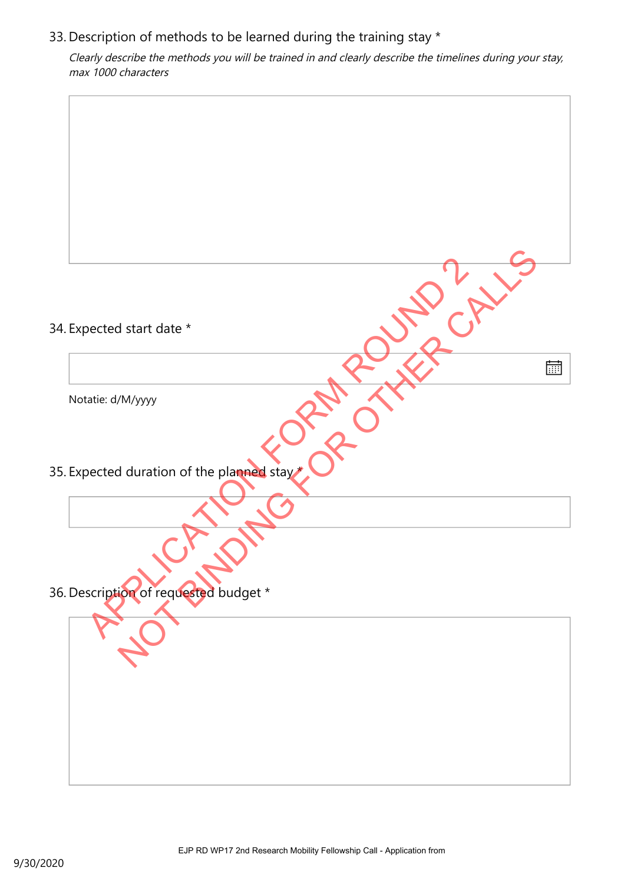#### 33. Description of methods to be learned during the training stay  $*$

Clearly describe the methods you will be trained in and clearly describe the timelines during your stay, max 1000 characters

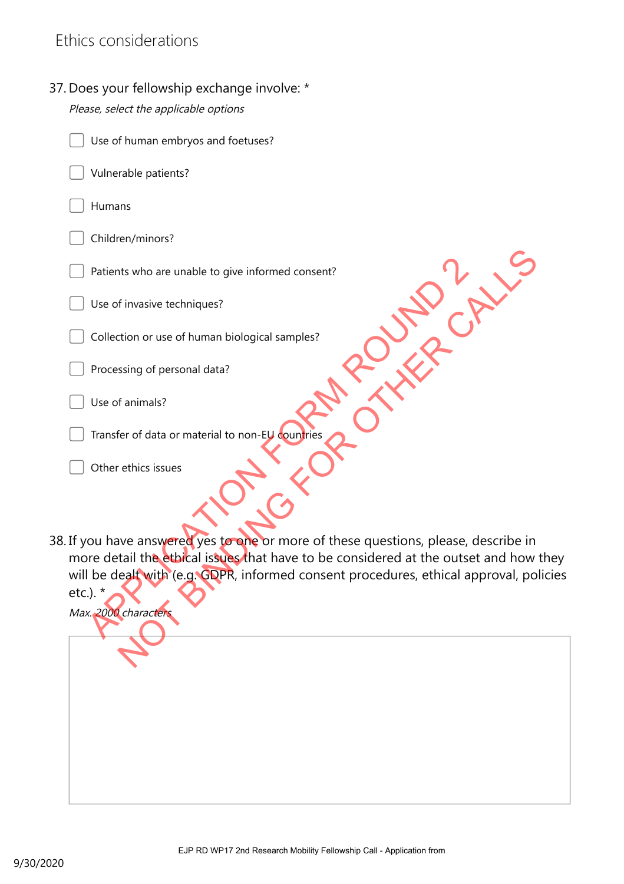# Ethics considerations

37. Does your fellowship exchange involve: \*

| Please, select the applicable options                                                                |
|------------------------------------------------------------------------------------------------------|
| Use of human embryos and foetuses?                                                                   |
| Vulnerable patients?                                                                                 |
| Humans                                                                                               |
| Children/minors?                                                                                     |
| Patients who are unable to give informed consent?                                                    |
| Use of invasive techniques?                                                                          |
| Collection or use of human biological samples?                                                       |
| Processing of personal data?                                                                         |
| Use of animals?                                                                                      |
| Transfer of data or material to non-EU countries                                                     |
| Other ethics issues                                                                                  |
| 38. If you have answered yes to one or more of these questions, please, describe in                  |
| more detail the ethical issues that have to be considered at the outset and how they                 |
| will be dealt with (e.g. GDPR, informed consent procedures, ethical approval, policies<br>etc.). $*$ |
| Max. 2000 characters                                                                                 |
|                                                                                                      |
|                                                                                                      |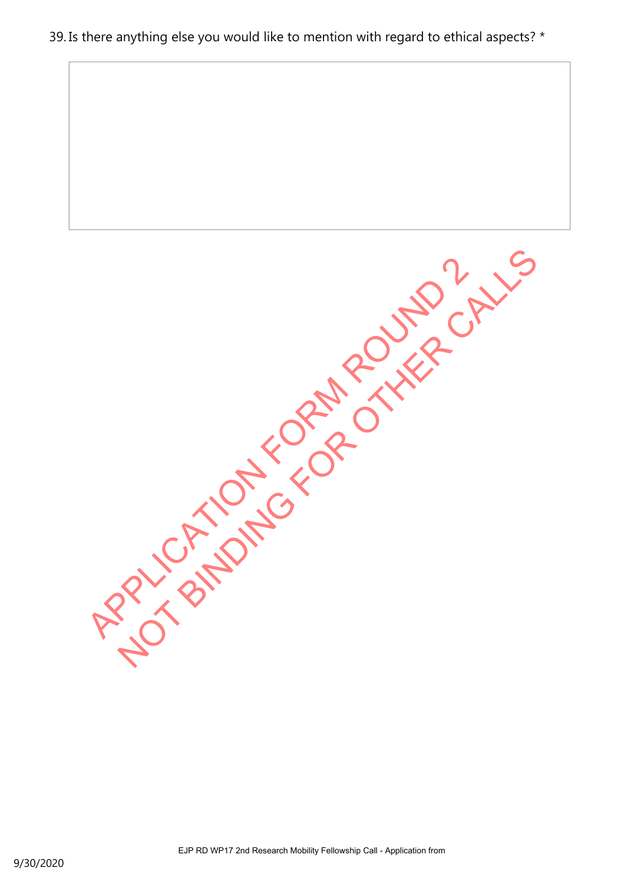#### 39. Is there anything else you would like to mention with regard to ethical aspects? \*